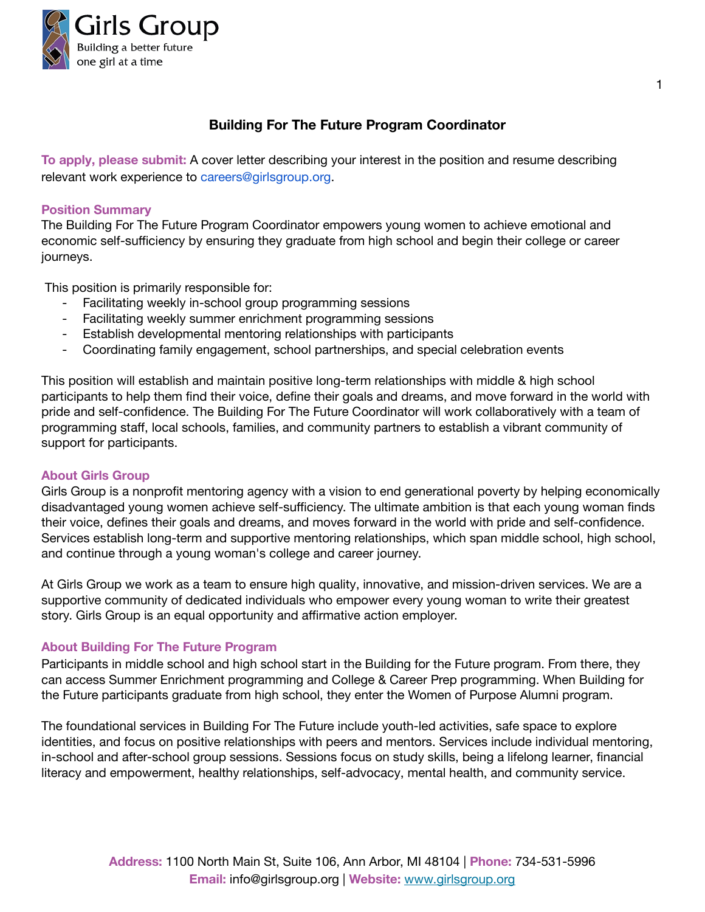

# **Building For The Future Program Coordinator**

**To apply, please submit:** A cover letter describing your interest in the position and resume describing relevant work experience to [careers@girlsgroup.org.](mailto:careers@girlsgroup.org)

#### **Position Summary**

The Building For The Future Program Coordinator empowers young women to achieve emotional and economic self-sufficiency by ensuring they graduate from high school and begin their college or career journeys.

This position is primarily responsible for:

- Facilitating weekly in-school group programming sessions
- Facilitating weekly summer enrichment programming sessions
- Establish developmental mentoring relationships with participants
- Coordinating family engagement, school partnerships, and special celebration events

This position will establish and maintain positive long-term relationships with middle & high school participants to help them find their voice, define their goals and dreams, and move forward in the world with pride and self-confidence. The Building For The Future Coordinator will work collaboratively with a team of programming staff, local schools, families, and community partners to establish a vibrant community of support for participants.

#### **About Girls Group**

Girls Group is a nonprofit mentoring agency with a vision to end generational poverty by helping economically disadvantaged young women achieve self-sufficiency. The ultimate ambition is that each young woman finds their voice, defines their goals and dreams, and moves forward in the world with pride and self-confidence. Services establish long-term and supportive mentoring relationships, which span middle school, high school, and continue through a young woman's college and career journey.

At Girls Group we work as a team to ensure high quality, innovative, and mission-driven services. We are a supportive community of dedicated individuals who empower every young woman to write their greatest story. Girls Group is an equal opportunity and affirmative action employer.

#### **About Building For The Future Program**

Participants in middle school and high school start in the Building for the Future program. From there, they can access Summer Enrichment programming and College & Career Prep programming. When Building for the Future participants graduate from high school, they enter the Women of Purpose Alumni program.

The foundational services in Building For The Future include youth-led activities, safe space to explore identities, and focus on positive relationships with peers and mentors. Services include individual mentoring, in-school and after-school group sessions. Sessions focus on study skills, being a lifelong learner, financial literacy and empowerment, healthy relationships, self-advocacy, mental health, and community service.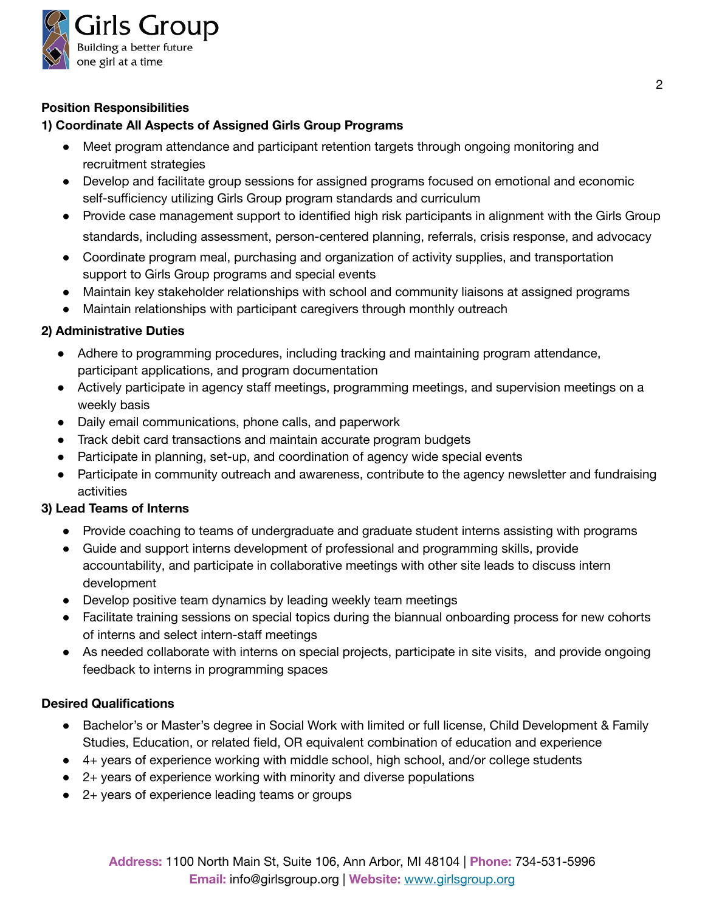

# **Position Responsibilities**

### **1) Coordinate All Aspects of Assigned Girls Group Programs**

- Meet program attendance and participant retention targets through ongoing monitoring and recruitment strategies
- Develop and facilitate group sessions for assigned programs focused on emotional and economic self-sufficiency utilizing Girls Group program standards and curriculum
- Provide case management support to identified high risk participants in alignment with the Girls Group standards, including assessment, person-centered planning, referrals, crisis response, and advocacy
- Coordinate program meal, purchasing and organization of activity supplies, and transportation support to Girls Group programs and special events
- Maintain key stakeholder relationships with school and community liaisons at assigned programs
- Maintain relationships with participant caregivers through monthly outreach

### **2) Administrative Duties**

- Adhere to programming procedures, including tracking and maintaining program attendance, participant applications, and program documentation
- Actively participate in agency staff meetings, programming meetings, and supervision meetings on a weekly basis
- Daily email communications, phone calls, and paperwork
- Track debit card transactions and maintain accurate program budgets
- Participate in planning, set-up, and coordination of agency wide special events
- Participate in community outreach and awareness, contribute to the agency newsletter and fundraising activities

### **3) Lead Teams of Interns**

- Provide coaching to teams of undergraduate and graduate student interns assisting with programs
- Guide and support interns development of professional and programming skills, provide accountability, and participate in collaborative meetings with other site leads to discuss intern development
- Develop positive team dynamics by leading weekly team meetings
- Facilitate training sessions on special topics during the biannual onboarding process for new cohorts of interns and select intern-staff meetings
- As needed collaborate with interns on special projects, participate in site visits, and provide ongoing feedback to interns in programming spaces

### **Desired Qualifications**

- Bachelor's or Master's degree in Social Work with limited or full license, Child Development & Family Studies, Education, or related field, OR equivalent combination of education and experience
- 4+ years of experience working with middle school, high school, and/or college students
- $\bullet$  2+ years of experience working with minority and diverse populations
- 2+ years of experience leading teams or groups